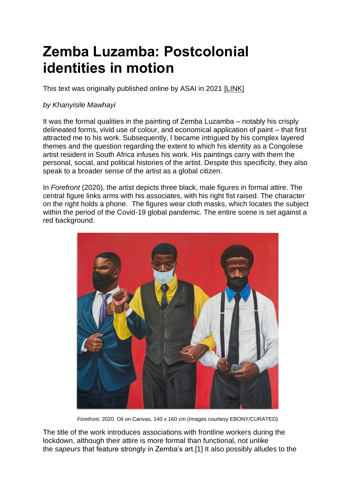## **Zemba Luzamba: Postcolonial identities in motion**

This text was originally published online by ASAI in 2021 [\[LINK\]](https://asai.co.za/zemba-luzamba-postcolonial-identities-in-motion/#more-22633)

## *by Khanyisile Mawhayi*

It was the formal qualities in the painting of Zemba Luzamba – notably his crisply delineated forms, vivid use of colour, and economical application of paint – that first attracted me to his work. Subsequently, I became intrigued by his complex layered themes and the question regarding the extent to which his identity as a Congolese artist resident in South Africa infuses his work. His paintings carry with them the personal, social, and political histories of the artist. Despite this specificity, they also speak to a broader sense of the artist as a global citizen.

In *Forefront* (2020), the artist depicts three black, male figures in formal attire. The central figure links arms with his associates, with his right fist raised. The character on the right holds a phone. The figures wear cloth masks, which locates the subject within the period of the Covid-19 global pandemic. The entire scene is set against a red background.



*Forefront*, 2020. Oil on Canvas, 140 x 160 cm (Images courtesy EBONY/CURATED)

The title of the work introduces associations with frontline workers during the lockdown, although their attire is more formal than functional, not unlike the *sapeurs* that feature strongly in Zemba's art[.\[1\]](https://asai.co.za/zemba-luzamba-postcolonial-identities-in-motion/#_edn1) It also possibly alludes to the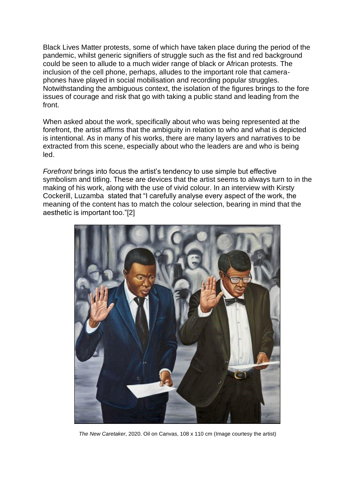Black Lives Matter protests, some of which have taken place during the period of the pandemic, whilst generic signifiers of struggle such as the fist and red background could be seen to allude to a much wider range of black or African protests. The inclusion of the cell phone, perhaps, alludes to the important role that cameraphones have played in social mobilisation and recording popular struggles. Notwithstanding the ambiguous context, the isolation of the figures brings to the fore issues of courage and risk that go with taking a public stand and leading from the front.

When asked about the work, specifically about who was being represented at the forefront, the artist affirms that the ambiguity in relation to who and what is depicted is intentional. As in many of his works, there are many layers and narratives to be extracted from this scene, especially about who the leaders are and who is being led.

*Forefront* brings into focus the artist's tendency to use simple but effective symbolism and titling. These are devices that the artist seems to always turn to in the making of his work, along with the use of vivid colour. In an interview with Kirsty Cockerill, Luzamba stated that "I carefully analyse every aspect of the work, the meaning of the content has to match the colour selection, bearing in mind that the aesthetic is important too.["\[2\]](https://asai.co.za/zemba-luzamba-postcolonial-identities-in-motion/#_edn2)



*The New Caretaker*, 2020. Oil on Canvas, 108 x 110 cm (Image courtesy the artist)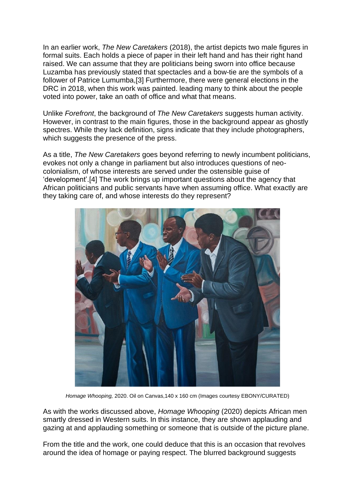In an earlier work, *The New Caretakers* (2018), the artist depicts two male figures in formal suits. Each holds a piece of paper in their left hand and has their right hand raised. We can assume that they are politicians being sworn into office because Luzamba has previously stated that spectacles and a bow-tie are the symbols of a follower of Patrice Lumumba[,\[3\]](https://asai.co.za/zemba-luzamba-postcolonial-identities-in-motion/#_edn3) Furthermore, there were general elections in the DRC in 2018, when this work was painted. leading many to think about the people voted into power, take an oath of office and what that means.

Unlike *Forefront*, the background of *The New Caretakers* suggests human activity. However, in contrast to the main figures, those in the background appear as ghostly spectres. While they lack definition, signs indicate that they include photographers, which suggests the presence of the press.

As a title, *The New Caretakers* goes beyond referring to newly incumbent politicians, evokes not only a change in parliament but also introduces questions of neocolonialism, of whose interests are served under the ostensible guise of 'development'[.\[4\]](https://asai.co.za/zemba-luzamba-postcolonial-identities-in-motion/#_edn4) The work brings up important questions about the agency that African politicians and public servants have when assuming office. What exactly are they taking care of, and whose interests do they represent?



*Homage Whooping,* 2020. Oil on Canvas,140 x 160 cm (Images courtesy EBONY/CURATED)

As with the works discussed above, *Homage Whooping* (2020) depicts African men smartly dressed in Western suits. In this instance, they are shown applauding and gazing at and applauding something or someone that is outside of the picture plane.

From the title and the work, one could deduce that this is an occasion that revolves around the idea of homage or paying respect. The blurred background suggests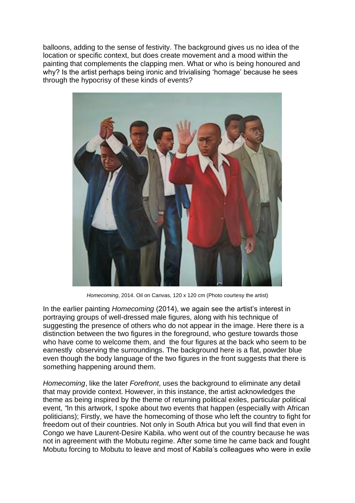balloons, adding to the sense of festivity. The background gives us no idea of the location or specific context, but does create movement and a mood within the painting that complements the clapping men. What or who is being honoured and why? Is the artist perhaps being ironic and trivialising 'homage' because he sees through the hypocrisy of these kinds of events?



*Homecoming*, 2014. Oil on Canvas, 120 x 120 cm (Photo courtesy the artist)

In the earlier painting *Homecoming* (2014), we again see the artist's interest in portraying groups of well-dressed male figures, along with his technique of suggesting the presence of others who do not appear in the image. Here there is a distinction between the two figures in the foreground, who gesture towards those who have come to welcome them, and the four figures at the back who seem to be earnestly observing the surroundings. The background here is a flat, powder blue even though the body language of the two figures in the front suggests that there is something happening around them.

*Homecoming*, like the later *Forefront*, uses the background to eliminate any detail that may provide context. However, in this instance, the artist acknowledges the theme as being inspired by the theme of returning political exiles, particular political event, *"*In this artwork, I spoke about two events that happen (especially with African politicians); Firstly, we have the homecoming of those who left the country to fight for freedom out of their countries. Not only in South Africa but you will find that even in Congo we have Laurent-Desire Kabila. who went out of the country because he was not in agreement with the Mobutu regime. After some time he came back and fought Mobutu forcing to Mobutu to leave and most of Kabila's colleagues who were in exile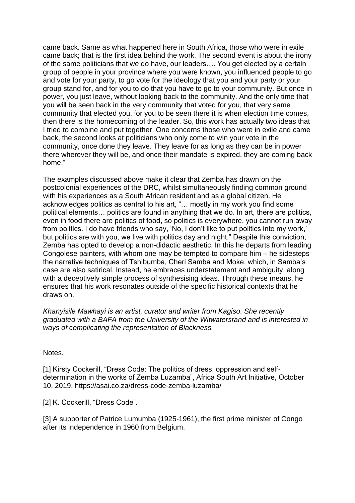came back. Same as what happened here in South Africa, those who were in exile came back; that is the first idea behind the work. The second event is about the irony of the same politicians that we do have, our leaders…. You get elected by a certain group of people in your province where you were known, you influenced people to go and vote for your party, to go vote for the ideology that you and your party or your group stand for, and for you to do that you have to go to your community. But once in power, you just leave, without looking back to the community. And the only time that you will be seen back in the very community that voted for you, that very same community that elected you, for you to be seen there it is when election time comes, then there is the homecoming of the leader. So, this work has actually two ideas that I tried to combine and put together. One concerns those who were in exile and came back, the second looks at politicians who only come to win your vote in the community, once done they leave. They leave for as long as they can be in power there wherever they will be, and once their mandate is expired, they are coming back home."

The examples discussed above make it clear that Zemba has drawn on the postcolonial experiences of the DRC, whilst simultaneously finding common ground with his experiences as a South African resident and as a global citizen. He acknowledges politics as central to his art, "… mostly in my work you find some political elements… politics are found in anything that we do. In art, there are politics, even in food there are politics of food, so politics is everywhere, you cannot run away from politics. I do have friends who say, 'No, I don't like to put politics into my work,' but politics are with you, we live with politics day and night." Despite this conviction, Zemba has opted to develop a non-didactic aesthetic. In this he departs from leading Congolese painters, with whom one may be tempted to compare him – he sidesteps the narrative techniques of Tshibumba, Cheri Samba and Moke, which, in Samba's case are also satirical. Instead, he embraces understatement and ambiguity, along with a deceptively simple process of synthesising ideas. Through these means, he ensures that his work resonates outside of the specific historical contexts that he draws on.

*Khanyisile Mawhayi is an artist, curator and writer from Kagiso. She recently graduated with a BAFA from the University of the Witwatersrand and is interested in ways of complicating the representation of Blackness.*

Notes.

[\[1\]](https://asai.co.za/zemba-luzamba-postcolonial-identities-in-motion/#_ednref1) Kirsty Cockerill, "Dress Code: The politics of dress, oppression and selfdetermination in the works of Zemba Luzamba", Africa South Art Initiative, October 10, 2019. <https://asai.co.za/dress-code-zemba-luzamba/>

[\[2\]](https://asai.co.za/zemba-luzamba-postcolonial-identities-in-motion/#_ednref2) K. Cockerill, "Dress Code".

[\[3\]](https://asai.co.za/zemba-luzamba-postcolonial-identities-in-motion/#_ednref3) A supporter of Patrice Lumumba (1925-1961), the first prime minister of Congo after its independence in 1960 from Belgium.